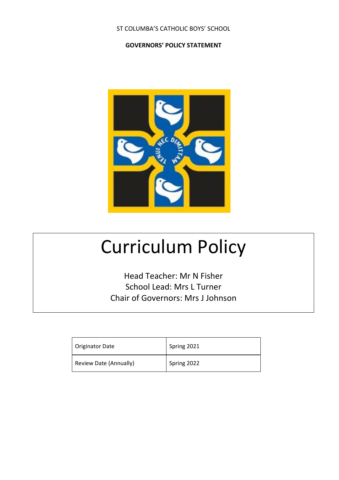#### ST COLUMBA'S CATHOLIC BOYS' SCHOOL

#### **GOVERNORS' POLICY STATEMENT**



# Curriculum Policy

Head Teacher: Mr N Fisher School Lead: Mrs L Turner Chair of Governors: Mrs J Johnson

| Originator Date        | Spring 2021 |
|------------------------|-------------|
| Review Date (Annually) | Spring 2022 |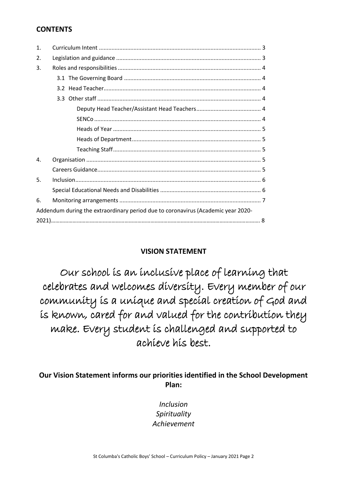## **CONTENTS**

| $\mathbf{1}$ . |                                                                                  |
|----------------|----------------------------------------------------------------------------------|
| 2.             |                                                                                  |
| 3.             |                                                                                  |
|                |                                                                                  |
|                |                                                                                  |
|                |                                                                                  |
|                |                                                                                  |
|                |                                                                                  |
|                |                                                                                  |
|                |                                                                                  |
|                |                                                                                  |
| 4.             |                                                                                  |
|                |                                                                                  |
| 5.             |                                                                                  |
|                |                                                                                  |
| 6.             |                                                                                  |
|                | Addendum during the extraordinary period due to coronavirus (Academic year 2020- |
|                |                                                                                  |

# **VISION STATEMENT**

Our school is an inclusive place of learning that celebrates and welcomes diversity. Every member of our community is a unique and special creation of God and is known, cared for and valued for the contribution they make. Every student is challenged and supported to achieve his best.

## **Our Vision Statement informs our priorities identified in the School Development Plan:**

*Inclusion Spirituality Achievement*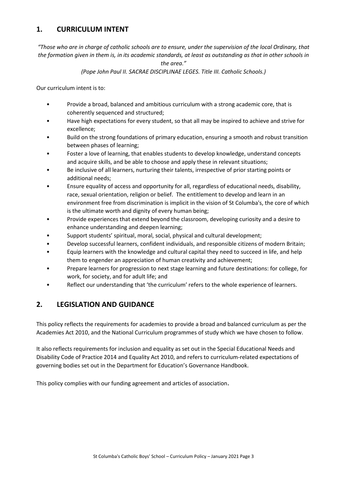## **1. CURRICULUM INTENT**

*"Those who are in charge of catholic schools are to ensure, under the supervision of the local Ordinary, that the formation given in them is, in its academic standards, at least as outstanding as that in other schools in* 

*the area."*

#### *(Pope John Paul II. SACRAE DISCIPLINAE LEGES. Title III. Catholic Schools.)*

Our curriculum intent is to:

- Provide a broad, balanced and ambitious curriculum with a strong academic core, that is coherently sequenced and structured;
- Have high expectations for every student, so that all may be inspired to achieve and strive for excellence;
- Build on the strong foundations of primary education, ensuring a smooth and robust transition between phases of learning;
- Foster a love of learning, that enables students to develop knowledge, understand concepts and acquire skills, and be able to choose and apply these in relevant situations;
- Be inclusive of all learners, nurturing their talents, irrespective of prior starting points or additional needs;
- Ensure equality of access and opportunity for all, regardless of educational needs, disability, race, sexual orientation, religion or belief. The entitlement to develop and learn in an environment free from discrimination is implicit in the vision of St Columba's, the core of which is the ultimate worth and dignity of every human being;
- Provide experiences that extend beyond the classroom, developing curiosity and a desire to enhance understanding and deepen learning;
- Support students' spiritual, moral, social, physical and cultural development;
- Develop successful learners, confident individuals, and responsible citizens of modern Britain;
- Equip learners with the knowledge and cultural capital they need to succeed in life, and help them to engender an appreciation of human creativity and achievement;
- Prepare learners for progression to next stage learning and future destinations: for college, for work, for society, and for adult life; and
- Reflect our understanding that 'the curriculum' refers to the whole experience of learners.

## **2. LEGISLATION AND GUIDANCE**

This policy reflects the requirements for academies to provide a broad and balanced curriculum as per the Academies Act 2010, and the National Curriculum programmes of study which we have chosen to follow.

It also reflects requirements for inclusion and equality as set out in the Special Educational Needs and Disability Code of Practice 2014 and Equality Act 2010, and refers to curriculum-related expectations of governing bodies set out in the Department for Education's Governance Handbook.

This policy complies with our funding agreement and articles of association.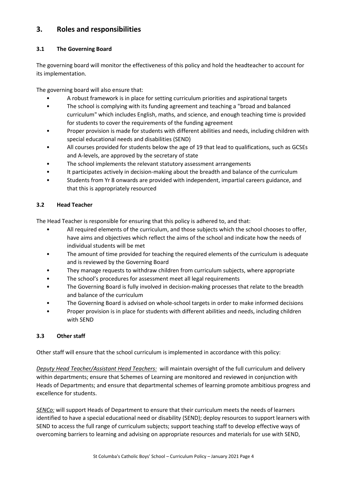# **3. Roles and responsibilities**

#### **3.1 The Governing Board**

The governing board will monitor the effectiveness of this policy and hold the headteacher to account for its implementation.

The governing board will also ensure that:

- A robust framework is in place for setting curriculum priorities and aspirational targets
- The school is complying with its funding agreement and teaching a "broad and balanced curriculum" which includes English, maths, and science, and enough teaching time is provided for students to cover the requirements of the funding agreement
- Proper provision is made for students with different abilities and needs, including children with special educational needs and disabilities (SEND)
- All courses provided for students below the age of 19 that lead to qualifications, such as GCSEs and A-levels, are approved by the secretary of state
- The school implements the relevant statutory assessment arrangements
- It participates actively in decision-making about the breadth and balance of the curriculum
- Students from Yr 8 onwards are provided with independent, impartial careers guidance, and that this is appropriately resourced

#### **3.2 Head Teacher**

The Head Teacher is responsible for ensuring that this policy is adhered to, and that:

- All required elements of the curriculum, and those subjects which the school chooses to offer, have aims and objectives which reflect the aims of the school and indicate how the needs of individual students will be met
- The amount of time provided for teaching the required elements of the curriculum is adequate and is reviewed by the Governing Board
- They manage requests to withdraw children from curriculum subjects, where appropriate
- The school's procedures for assessment meet all legal requirements
- The Governing Board is fully involved in decision-making processes that relate to the breadth and balance of the curriculum
- The Governing Board is advised on whole-school targets in order to make informed decisions
- Proper provision is in place for students with different abilities and needs, including children with SEND

#### **3.3 Other staff**

Other staff will ensure that the school curriculum is implemented in accordance with this policy:

*Deputy Head Teacher/Assistant Head Teachers:* will maintain oversight of the full curriculum and delivery within departments; ensure that Schemes of Learning are monitored and reviewed in conjunction with Heads of Departments; and ensure that departmental schemes of learning promote ambitious progress and excellence for students.

*SENCo:* will support Heads of Department to ensure that their curriculum meets the needs of learners identified to have a special educational need or disability (SEND); deploy resources to support learners with SEND to access the full range of curriculum subjects; support teaching staff to develop effective ways of overcoming barriers to learning and advising on appropriate resources and materials for use with SEND,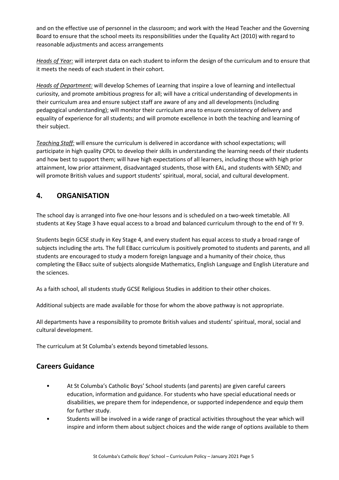and on the effective use of personnel in the classroom; and work with the Head Teacher and the Governing Board to ensure that the school meets its responsibilities under the Equality Act (2010) with regard to reasonable adjustments and access arrangements

*Heads of Year:* will interpret data on each student to inform the design of the curriculum and to ensure that it meets the needs of each student in their cohort.

*Heads of Department:* will develop Schemes of Learning that inspire a love of learning and intellectual curiosity, and promote ambitious progress for all; will have a critical understanding of developments in their curriculum area and ensure subject staff are aware of any and all developments (including pedagogical understanding); will monitor their curriculum area to ensure consistency of delivery and equality of experience for all students; and will promote excellence in both the teaching and learning of their subject.

*Teaching Staff:* will ensure the curriculum is delivered in accordance with school expectations; will participate in high quality CPDL to develop their skills in understanding the learning needs of their students and how best to support them; will have high expectations of all learners, including those with high prior attainment, low prior attainment, disadvantaged students, those with EAL, and students with SEND; and will promote British values and support students' spiritual, moral, social, and cultural development.

# **4. ORGANISATION**

The school day is arranged into five one-hour lessons and is scheduled on a two-week timetable. All students at Key Stage 3 have equal access to a broad and balanced curriculum through to the end of Yr 9.

Students begin GCSE study in Key Stage 4, and every student has equal access to study a broad range of subjects including the arts. The full EBacc curriculum is positively promoted to students and parents, and all students are encouraged to study a modern foreign language and a humanity of their choice, thus completing the EBacc suite of subjects alongside Mathematics, English Language and English Literature and the sciences.

As a faith school, all students study GCSE Religious Studies in addition to their other choices.

Additional subjects are made available for those for whom the above pathway is not appropriate.

All departments have a responsibility to promote British values and students' spiritual, moral, social and cultural development.

The curriculum at St Columba's extends beyond timetabled lessons.

## **Careers Guidance**

- At St Columba's Catholic Boys' School students (and parents) are given careful careers education, information and guidance. For students who have special educational needs or disabilities, we prepare them for independence, or supported independence and equip them for further study.
- Students will be involved in a wide range of practical activities throughout the year which will inspire and inform them about subject choices and the wide range of options available to them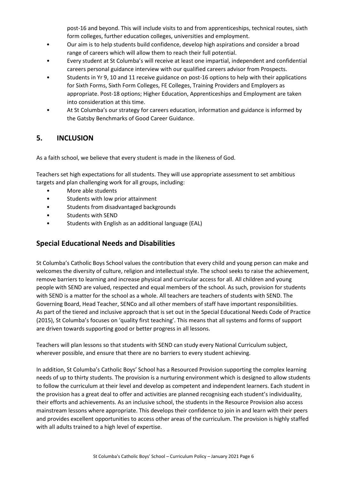post-16 and beyond. This will include visits to and from apprenticeships, technical routes, sixth form colleges, further education colleges, universities and employment.

- Our aim is to help students build confidence, develop high aspirations and consider a broad range of careers which will allow them to reach their full potential.
- Every student at St Columba's will receive at least one impartial, independent and confidential careers personal guidance interview with our qualified careers advisor from Prospects.
- Students in Yr 9, 10 and 11 receive guidance on post-16 options to help with their applications for Sixth Forms, Sixth Form Colleges, FE Colleges, Training Providers and Employers as appropriate. Post-18 options; Higher Education, Apprenticeships and Employment are taken into consideration at this time.
- At St Columba's our strategy for careers education, information and guidance is informed by the Gatsby Benchmarks of Good Career Guidance.

## **5. INCLUSION**

As a faith school, we believe that every student is made in the likeness of God.

Teachers set high expectations for all students. They will use appropriate assessment to set ambitious targets and plan challenging work for all groups, including:

- More able students
- Students with low prior attainment
- Students from disadvantaged backgrounds
- Students with SEND
- Students with English as an additional language (EAL)

## **Special Educational Needs and Disabilities**

St Columba's Catholic Boys School values the contribution that every child and young person can make and welcomes the diversity of culture, religion and intellectual style. The school seeks to raise the achievement, remove barriers to learning and increase physical and curricular access for all. All children and young people with SEND are valued, respected and equal members of the school. As such, provision for students with SEND is a matter for the school as a whole. All teachers are teachers of students with SEND. The Governing Board, Head Teacher, SENCo and all other members of staff have important responsibilities. As part of the tiered and inclusive approach that is set out in the Special Educational Needs Code of Practice (2015), St Columba's focuses on 'quality first teaching'. This means that all systems and forms of support are driven towards supporting good or better progress in all lessons.

Teachers will plan lessons so that students with SEND can study every National Curriculum subject, wherever possible, and ensure that there are no barriers to every student achieving.

In addition, St Columba's Catholic Boys' School has a Resourced Provision supporting the complex learning needs of up to thirty students. The provision is a nurturing environment which is designed to allow students to follow the curriculum at their level and develop as competent and independent learners. Each student in the provision has a great deal to offer and activities are planned recognising each student's individuality, their efforts and achievements. As an inclusive school, the students in the Resource Provision also access mainstream lessons where appropriate. This develops their confidence to join in and learn with their peers and provides excellent opportunities to access other areas of the curriculum. The provision is highly staffed with all adults trained to a high level of expertise.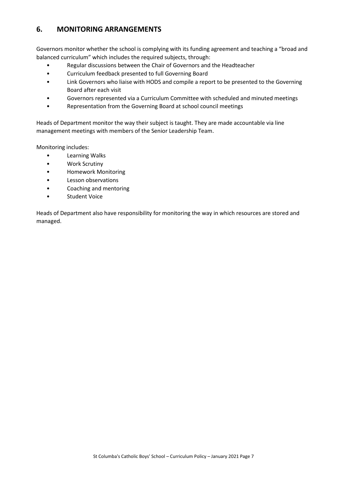# **6. MONITORING ARRANGEMENTS**

Governors monitor whether the school is complying with its funding agreement and teaching a "broad and balanced curriculum" which includes the required subjects, through:

- Regular discussions between the Chair of Governors and the Headteacher
- Curriculum feedback presented to full Governing Board
- Link Governors who liaise with HODS and compile a report to be presented to the Governing Board after each visit
- Governors represented via a Curriculum Committee with scheduled and minuted meetings
- Representation from the Governing Board at school council meetings

Heads of Department monitor the way their subject is taught. They are made accountable via line management meetings with members of the Senior Leadership Team.

Monitoring includes:

- Learning Walks
- Work Scrutiny
- Homework Monitoring
- Lesson observations
- Coaching and mentoring
- Student Voice

Heads of Department also have responsibility for monitoring the way in which resources are stored and managed.